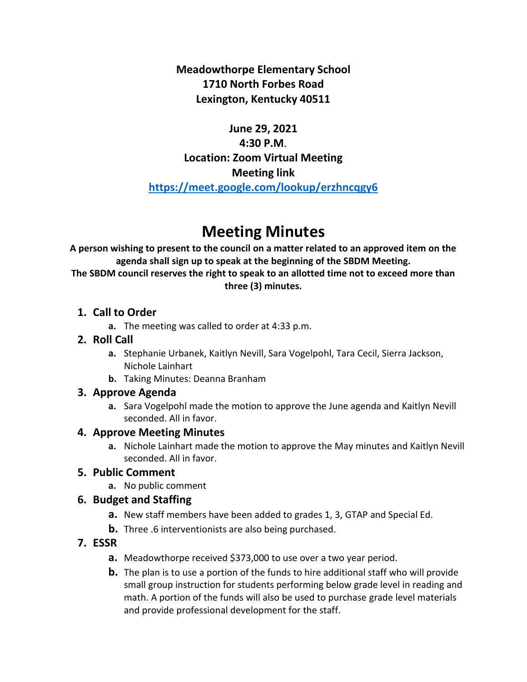**Meadowthorpe Elementary School 1710 North Forbes Road Lexington, Kentucky 40511**

## **June 29, 2021 4:30 P.M**. **Location: Zoom Virtual Meeting Meeting link <https://meet.google.com/lookup/erzhncqgy6>**

# **Meeting Minutes**

**A person wishing to present to the council on a matter related to an approved item on the agenda shall sign up to speak at the beginning of the SBDM Meeting. The SBDM council reserves the right to speak to an allotted time not to exceed more than three (3) minutes.**

#### **1. Call to Order**

**a.** The meeting was called to order at 4:33 p.m.

#### **2. Roll Call**

- **a.** Stephanie Urbanek, Kaitlyn Nevill, Sara Vogelpohl, Tara Cecil, Sierra Jackson, Nichole Lainhart
- **b.** Taking Minutes: Deanna Branham

#### **3. Approve Agenda**

**a.** Sara Vogelpohl made the motion to approve the June agenda and Kaitlyn Nevill seconded. All in favor.

## **4. Approve Meeting Minutes**

**a.** Nichole Lainhart made the motion to approve the May minutes and Kaitlyn Nevill seconded. All in favor.

## **5. Public Comment**

**a.** No public comment

#### **6. Budget and Staffing**

- **a.** New staff members have been added to grades 1, 3, GTAP and Special Ed.
- **b.** Three .6 interventionists are also being purchased.

## **7. ESSR**

- **a.** Meadowthorpe received \$373,000 to use over a two year period.
- **b.** The plan is to use a portion of the funds to hire additional staff who will provide small group instruction for students performing below grade level in reading and math. A portion of the funds will also be used to purchase grade level materials and provide professional development for the staff.